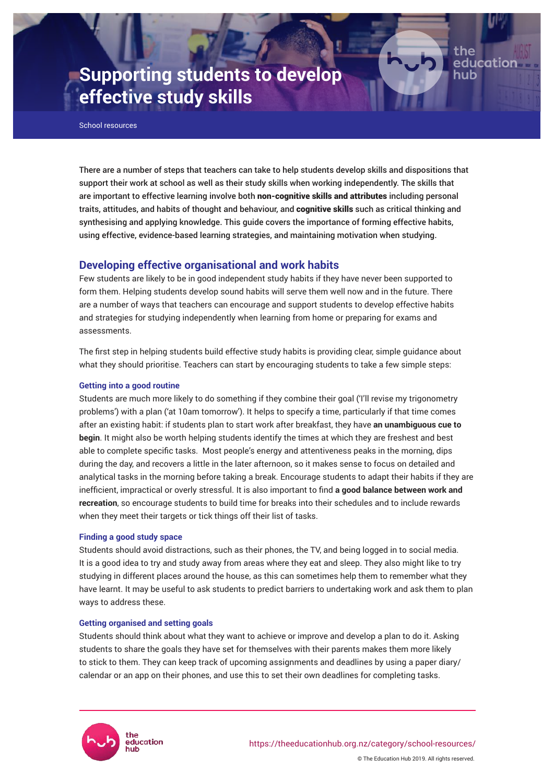# **Supporting students to develop effective study skills**

School resources

There are a number of steps that teachers can take to help students develop skills and dispositions that support their work at school as well as their study skills when working independently. The skills that are important to effective learning involve both non-cognitive skills and attributes including personal traits, attitudes, and habits of thought and behaviour, and cognitive skills such as critical thinking and synthesising and applying knowledge. This guide covers the importance of forming effective habits, using effective, evidence-based learning strategies, and maintaining motivation when studying.

Page 1

the

educatior

## **Developing effective organisational and work habits**

Few students are likely to be in good independent study habits if they have never been supported to form them. Helping students develop sound habits will serve them well now and in the future. There are a number of ways that teachers can encourage and support students to develop effective habits and strategies for studying independently when learning from home or preparing for exams and assessments.

The first step in helping students build effective study habits is providing clear, simple guidance about what they should prioritise. Teachers can start by encouraging students to take a few simple steps:

## **Getting into a good routine**

Students are much more likely to do something if they combine their goal ('I'll revise my trigonometry problems') with a plan ('at 10am tomorrow'). It helps to specify a time, particularly if that time comes after an existing habit: if students plan to start work after breakfast, they have **an unambiguous cue to begin**. It might also be worth helping students identify the times at which they are freshest and best able to complete specific tasks. Most people's energy and attentiveness peaks in the morning, dips during the day, and recovers a little in the later afternoon, so it makes sense to focus on detailed and analytical tasks in the morning before taking a break. Encourage students to adapt their habits if they are inefficient, impractical or overly stressful. It is also important to find **a good balance between work and recreation**, so encourage students to build time for breaks into their schedules and to include rewards when they meet their targets or tick things off their list of tasks.

## **Finding a good study space**

Students should avoid distractions, such as their phones, the TV, and being logged in to social media. It is a good idea to try and study away from areas where they eat and sleep. They also might like to try studying in different places around the house, as this can sometimes help them to remember what they have learnt. It may be useful to ask students to predict barriers to undertaking work and ask them to plan ways to address these.

## **Getting organised and setting goals**

Students should think about what they want to achieve or improve and develop a plan to do it. Asking students to share the goals they have set for themselves with their parents makes them more likely to stick to them. They can keep track of upcoming assignments and deadlines by using a paper diary/ calendar or an app on their phones, and use this to set their own deadlines for completing tasks.

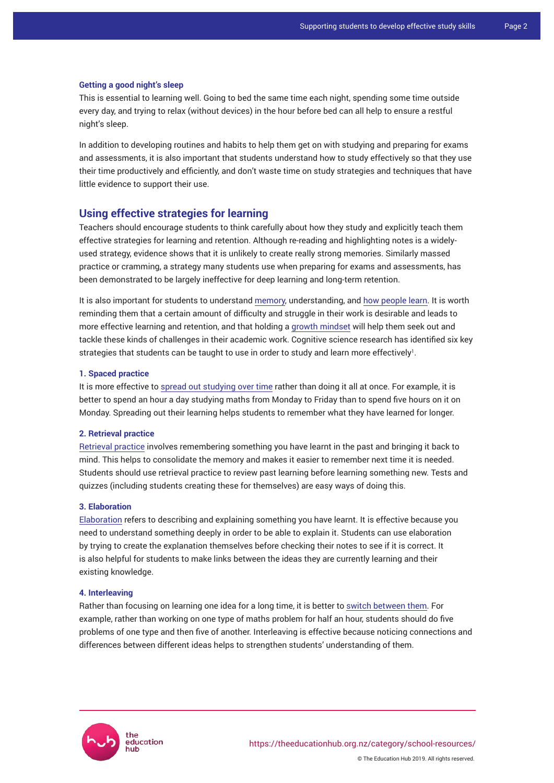#### **Getting a good night's sleep**

This is essential to learning well. Going to bed the same time each night, spending some time outside every day, and trying to relax (without devices) in the hour before bed can all help to ensure a restful night's sleep.

In addition to developing routines and habits to help them get on with studying and preparing for exams and assessments, it is also important that students understand how to study effectively so that they use their time productively and efficiently, and don't waste time on study strategies and techniques that have little evidence to support their use.

## **Using effective strategies for learning**

Teachers should encourage students to think carefully about how they study and explicitly teach them effective strategies for learning and retention. Although re-reading and highlighting notes is a widelyused strategy, evidence shows that it is unlikely to create really strong memories. Similarly massed practice or cramming, a strategy many students use when preparing for exams and assessments, has been demonstrated to be largely ineffective for deep learning and long-term retention.

It is also important for students to understand [memory](https://theeducationhub.org.nz/how-to-structure-learning-to-make-it-sustainable/), understanding, and [how people learn](https://theeducationhub.org.nz/how-to-promote-deep-understanding-in-your-classroom/). It is worth reminding them that a certain amount of difficulty and struggle in their work is desirable and leads to more effective learning and retention, and that holding a [growth mindset](https://theeducationhub.org.nz/an-introduction-to-growth-mindset/) will help them seek out and tackle these kinds of challenges in their academic work. Cognitive science research has identified six key strategies that students can be taught to use in order to study and learn more effectively $^{\rm l}$ .

## **1. Spaced practice**

It is more effective to [spread out studying over time](https://static1.squarespace.com/static/56acc1138a65e2a286012c54/t/57f27b5bcd0f681fb4abc9e2/1475509083742/Spaced+Practice.pdf) rather than doing it all at once. For example, it is better to spend an hour a day studying maths from Monday to Friday than to spend five hours on it on Monday. Spreading out their learning helps students to remember what they have learned for longer.

## **2. Retrieval practice**

[Retrieval practice](https://static1.squarespace.com/static/56acc1138a65e2a286012c54/t/57f26f589de4bb8a69b4af17/1475506008680/Retrieval+Practice.pdf) involves remembering something you have learnt in the past and bringing it back to mind. This helps to consolidate the memory and makes it easier to remember next time it is needed. Students should use retrieval practice to review past learning before learning something new. Tests and quizzes (including students creating these for themselves) are easy ways of doing this.

## **3. Elaboration**

[Elaboration](https://static1.squarespace.com/static/56acc1138a65e2a286012c54/t/57f27850e3df28e1e0e56ebf/1475508304642/Elaboration.pdf) refers to describing and explaining something you have learnt. It is effective because you need to understand something deeply in order to be able to explain it. Students can use elaboration by trying to create the explanation themselves before checking their notes to see if it is correct. It is also helpful for students to make links between the ideas they are currently learning and their existing knowledge.

#### **4. Interleaving**

Rather than focusing on learning one idea for a long time, it is better to [switch between them.](https://static1.squarespace.com/static/56acc1138a65e2a286012c54/t/57f2749ecd0f681fb4ab7a03/1475507358965/Interleaving.pdf) For example, rather than working on one type of maths problem for half an hour, students should do five problems of one type and then five of another. Interleaving is effective because noticing connections and differences between different ideas helps to strengthen students' understanding of them.

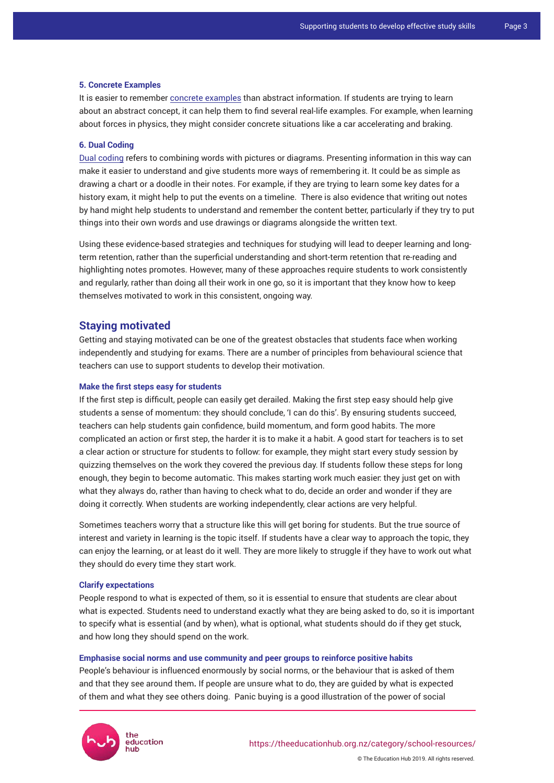#### **5. Concrete Examples**

It is easier to remember [concrete examples](https://static1.squarespace.com/static/56acc1138a65e2a286012c54/t/57f27948e3df28e1e0e57997/1475508552379/Concrete+Examples.pdf) than abstract information. If students are trying to learn about an abstract concept, it can help them to find several real-life examples. For example, when learning about forces in physics, they might consider concrete situations like a car accelerating and braking.

## **6. Dual Coding**

[Dual coding](https://static1.squarespace.com/static/56acc1138a65e2a286012c54/t/57f6b29420099e032f7c3049/1475785365734/Dual+Coding.pdf) refers to combining words with pictures or diagrams. Presenting information in this way can make it easier to understand and give students more ways of remembering it. It could be as simple as drawing a chart or a doodle in their notes. For example, if they are trying to learn some key dates for a history exam, it might help to put the events on a timeline. There is also evidence that writing out notes by hand might help students to understand and remember the content better, particularly if they try to put things into their own words and use drawings or diagrams alongside the written text.

Using these evidence-based strategies and techniques for studying will lead to deeper learning and longterm retention, rather than the superficial understanding and short-term retention that re-reading and highlighting notes promotes. However, many of these approaches require students to work consistently and regularly, rather than doing all their work in one go, so it is important that they know how to keep themselves motivated to work in this consistent, ongoing way.

## **Staying motivated**

Getting and staying motivated can be one of the greatest obstacles that students face when working independently and studying for exams. There are a number of principles from behavioural science that teachers can use to support students to develop their motivation.

## **Make the first steps easy for students**

If the first step is difficult, people can easily get derailed. Making the first step easy should help give students a sense of momentum: they should conclude, 'I can do this'. By ensuring students succeed, teachers can help students gain confidence, build momentum, and form good habits. The more complicated an action or first step, the harder it is to make it a habit. A good start for teachers is to set a clear action or structure for students to follow: for example, they might start every study session by quizzing themselves on the work they covered the previous day. If students follow these steps for long enough, they begin to become automatic. This makes starting work much easier: they just get on with what they always do, rather than having to check what to do, decide an order and wonder if they are doing it correctly. When students are working independently, clear actions are very helpful.

Sometimes teachers worry that a structure like this will get boring for students. But the true source of interest and variety in learning is the topic itself. If students have a clear way to approach the topic, they can enjoy the learning, or at least do it well. They are more likely to struggle if they have to work out what they should do every time they start work.

#### **Clarify expectations**

People respond to what is expected of them, so it is essential to ensure that students are clear about what is expected. Students need to understand exactly what they are being asked to do, so it is important to specify what is essential (and by when), what is optional, what students should do if they get stuck, and how long they should spend on the work.

#### **Emphasise social norms and use community and peer groups to reinforce positive habits**

People's behaviour is influenced enormously by social norms, or the behaviour that is asked of them and that they see around them**.** If people are unsure what to do, they are guided by what is expected of them and what they see others doing. Panic buying is a good illustration of the power of social

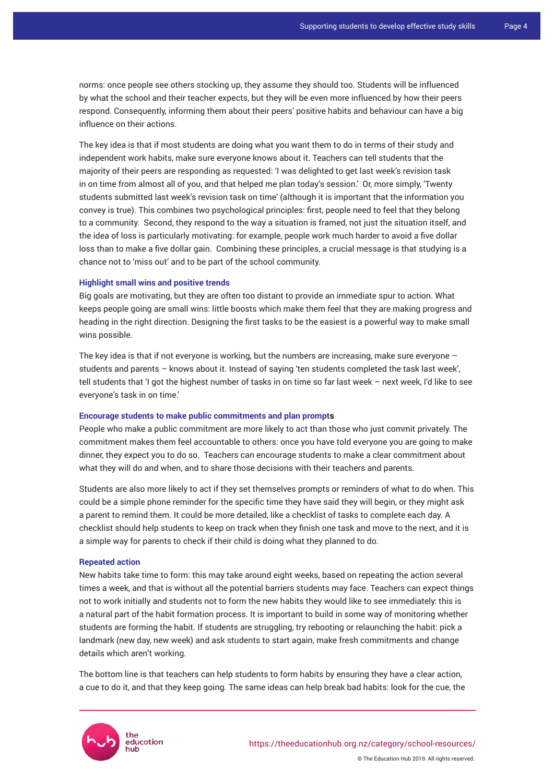norms: once people see others stocking up, they assume they should too. Students will be influenced by what the school and their teacher expects, but they will be even more influenced by how their peers respond. Consequently, informing them about their peers' positive habits and behaviour can have a big influence on their actions.

The key idea is that if most students are doing what you want them to do in terms of their study and independent work habits, make sure everyone knows about it. Teachers can tell students that the majority of their peers are responding as requested: 'I was delighted to get last week's revision task in on time from almost all of you, and that helped me plan today's session.' Or, more simply, 'Twenty students submitted last week's revision task on time' (although it is important that the information you convey is true). This combines two psychological principles: first, people need to feel that they belong to a community. Second, they respond to the way a situation is framed, not just the situation itself, and the idea of loss is particularly motivating: for example, people work much harder to avoid a five dollar loss than to make a five dollar gain. Combining these principles, a crucial message is that studying is a chance not to 'miss out' and to be part of the school community.

#### **Highlight small wins and positive trends**

Big goals are motivating, but they are often too distant to provide an immediate spur to action. What keeps people going are small wins: little boosts which make them feel that they are making progress and heading in the right direction. Designing the first tasks to be the easiest is a powerful way to make small wins possible.

The key idea is that if not everyone is working, but the numbers are increasing, make sure everyone – students and parents – knows about it. Instead of saying 'ten students completed the task last week', tell students that 'I got the highest number of tasks in on time so far last week – next week, I'd like to see everyone's task in on time.'

## **Encourage students to make public commitments and plan prompts**

People who make a public commitment are more likely to act than those who just commit privately. The commitment makes them feel accountable to others: once you have told everyone you are going to make dinner, they expect you to do so. Teachers can encourage students to make a clear commitment about what they will do and when, and to share those decisions with their teachers and parents.

Students are also more likely to act if they set themselves prompts or reminders of what to do when. This could be a simple phone reminder for the specific time they have said they will begin, or they might ask a parent to remind them. It could be more detailed, like a checklist of tasks to complete each day. A checklist should help students to keep on track when they finish one task and move to the next, and it is a simple way for parents to check if their child is doing what they planned to do.

#### **Repeated action**

New habits take time to form: this may take around eight weeks, based on repeating the action several times a week, and that is without all the potential barriers students may face. Teachers can expect things not to work initially and students not to form the new habits they would like to see immediately: this is a natural part of the habit formation process. It is important to build in some way of monitoring whether students are forming the habit. If students are struggling, try rebooting or relaunching the habit: pick a landmark (new day, new week) and ask students to start again, make fresh commitments and change details which aren't working.

The bottom line is that teachers can help students to form habits by ensuring they have a clear action, a cue to do it, and that they keep going. The same ideas can help break bad habits: look for the cue, the